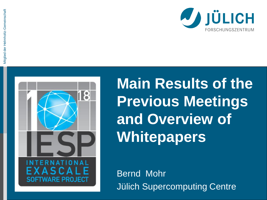



**Main Results of the Previous Meetings and Overview of Whitepapers**

Bernd Mohr Jülich Supercomputing Centre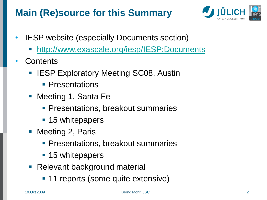# **Main (Re)source for this Summary**



- IESP website (especially Documents section)
	- <http://www.exascale.org/iesp/IESP:Documents>
- Contents
	- **IESP Exploratory Meeting SC08, Austin** 
		- **Presentations**
	- Meeting 1, Santa Fe
		- **Presentations, breakout summaries**
		- 15 whitepapers
	- Meeting 2, Paris
		- **Presentations, breakout summaries**
		- **15 whitepapers**
	- Relevant background material
		- 11 reports (some quite extensive)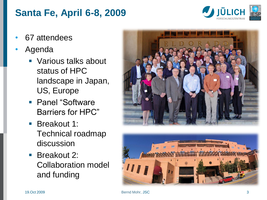## **Santa Fe, April 6-8, 2009**

**JÜLICH** 

- 67 attendees
- Agenda
	- **Various talks about** status of HPC landscape in Japan, US, Europe
	- Panel "Software Barriers for HPC"
	- Breakout 1: Technical roadmap discussion
	- Breakout 2: Collaboration model and funding



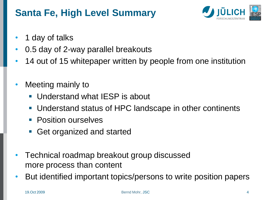# **Santa Fe, High Level Summary**



- 1 day of talks
- 0.5 day of 2-way parallel breakouts
- 14 out of 15 whitepaper written by people from one institution
- Meeting mainly to
	- Understand what IESP is about
	- Understand status of HPC landscape in other continents
	- **Position ourselves**
	- Get organized and started
- Technical roadmap breakout group discussed more process than content
- But identified important topics/persons to write position papers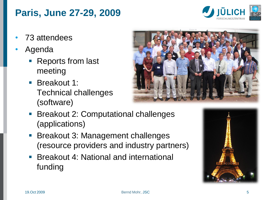### **Paris, June 27-29, 2009**



- 73 attendees
- Agenda
	- Reports from last meeting
	- Breakout 1: Technical challenges (software)



- **Breakout 2: Computational challenges** (applications)
- Breakout 3: Management challenges (resource providers and industry partners)
- **Breakout 4: National and international** funding

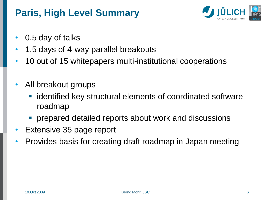# **Paris, High Level Summary**



- 0.5 day of talks
- 1.5 days of 4-way parallel breakouts
- 10 out of 15 whitepapers multi-institutional cooperations
- All breakout groups
	- **EXTERN identified key structural elements of coordinated software** roadmap
	- **Performared detailed reports about work and discussions**
- Extensive 35 page report
- Provides basis for creating draft roadmap in Japan meeting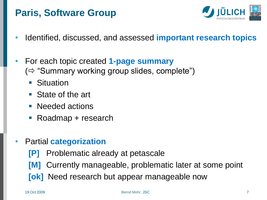### **Paris, Software Group**



- Identified, discussed, and assessed **important research topics**
- For each topic created **1-page summary**  $(\Rightarrow$  "Summary working group slides, complete")
	- Situation
	- State of the art
	- **Needed actions**
	- Roadmap + research
- Partial **categorization**
	- **[P]** Problematic already at petascale
	- **[M]** Currently manageable, problematic later at some point
	- **[ok]** Need research but appear manageable now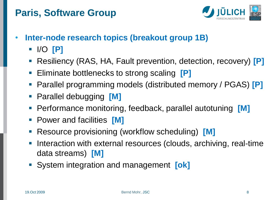## **Paris, Software Group**



- **Inter-node research topics (breakout group 1B)**
	- I/O **[P]**
	- Resiliency (RAS, HA, Fault prevention, detection, recovery) **[P]**
	- Eliminate bottlenecks to strong scaling **[P]**
	- Parallel programming models (distributed memory / PGAS) **[P]**
	- Parallel debugging **[M]**
	- Performance monitoring, feedback, parallel autotuning **[M]**
	- **Power and facilities [M]**
	- Resource provisioning (workflow scheduling) **[M]**
	- Interaction with external resources (clouds, archiving, real-time data streams) **[M]**
	- System integration and management **[ok]**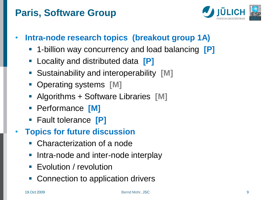# **Paris, Software Group**



- **Intra-node research topics (breakout group 1A)**
	- 1-billion way concurrency and load balancing **[P]**
	- **Example 2** Locality and distributed data **[P]**
	- Sustainability and interoperability **[M]**
	- Operating systems **[M]**
	- Algorithms + Software Libraries **[M]**
	- Performance **[M]**
	- Fault tolerance **[P]**
- **Topics for future discussion**
	- Characterization of a node
	- **Intra-node and inter-node interplay**
	- **Explution / revolution**
	- Connection to application drivers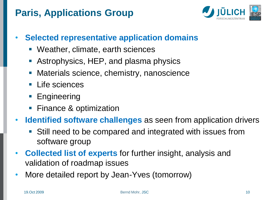# **Paris, Applications Group**



- **Selected representative application domains**
	- Weather, climate, earth sciences
	- **Astrophysics, HEP, and plasma physics**
	- Materials science, chemistry, nanoscience
	- **Life sciences**
	- **Engineering**
	- **Finance & optimization**
- **Identified software challenges** as seen from application drivers
	- Still need to be compared and integrated with issues from software group
- **Collected list of experts** for further insight, analysis and validation of roadmap issues
- More detailed report by Jean-Yves (tomorrow)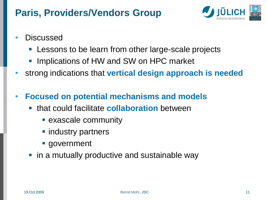### **Paris, Providers/Vendors Group**



- Discussed
	- **Lessons to be learn from other large-scale projects**
	- Implications of HW and SW on HPC market
- strong indications that **vertical design approach is needed**
- **Focused on potential mechanisms and models**
	- that could facilitate **collaboration** between
		- **Exascale community**
		- **Findustry partners**
		- **government**
	- **n** in a mutually productive and sustainable way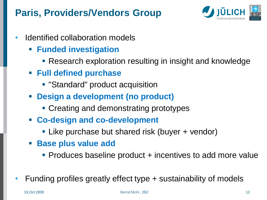### **Paris, Providers/Vendors Group**



- Identified collaboration models
	- **Funded investigation**
		- **Research exploration resulting in insight and knowledge**
	- **Full defined purchase**
		- **E** "Standard" product acquisition
	- **Design a development (no product)**
		- **Creating and demonstrating prototypes**
	- **Co-design and co-development**
		- Like purchase but shared risk (buyer + vendor)
	- **Base plus value add**
		- **Produces baseline product + incentives to add more value**
- Funding profiles greatly effect type + sustainability of models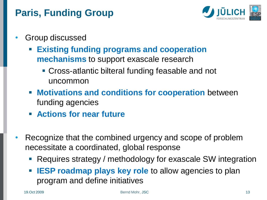# **Paris, Funding Group**



- Group discussed
	- **Existing funding programs and cooperation mechanisms** to support exascale research
		- Cross-atlantic bilteral funding feasable and not uncommon
	- **K** Motivations and conditions for cooperation between funding agencies
	- **Actions for near future**
- Recognize that the combined urgency and scope of problem necessitate a coordinated, global response
	- **Requires strategy / methodology for exascale SW integration**
	- **IESP roadmap plays key role** to allow agencies to plan program and define initiatives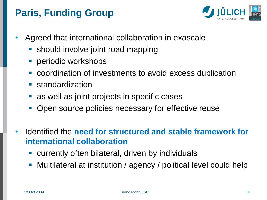# **Paris, Funding Group**



- Agreed that international collaboration in exascale
	- should involve joint road mapping
	- **Periodic workshops**
	- coordination of investments to avoid excess duplication
	- **standardization**
	- **as well as joint projects in specific cases**
	- Open source policies necessary for effective reuse
- Identified the **need for structured and stable framework for international collaboration**
	- currently often bilateral, driven by individuals
	- Multilateral at institution / agency / political level could help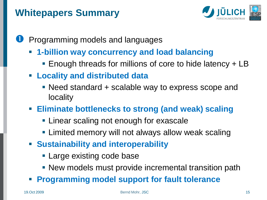

- **P** Programming models and languages
	- **1-billion way concurrency and load balancing**
		- Enough threads for millions of core to hide latency + LB
	- **Locality and distributed data**
		- Need standard + scalable way to express scope and **locality**
	- **Eliminate bottlenecks to strong (and weak) scaling**
		- **Linear scaling not enough for exascale**
		- **Example 2 Figure 1** Limited memory will not always allow weak scaling
	- **Sustainability and interoperability** 
		- **Large existing code base**
		- New models must provide incremental transition path
	- **Programming model support for fault tolerance**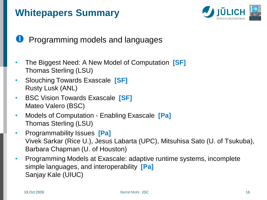

### Programming models and languages

- The Biggest Need: A New Model of Computation **[SF]**  Thomas Sterling (LSU)
- Slouching Towards Exascale **[SF]** Rusty Lusk (ANL)
- BSC Vision Towards Exascale **[SF]** Mateo Valero (BSC)
- Models of Computation Enabling Exascale **[Pa]**  Thomas Sterling (LSU)
- Programmability Issues **[Pa]** Vivek Sarkar (Rice U.), Jesus Labarta (UPC), Mitsuhisa Sato (U. of Tsukuba), Barbara Chapman (U. of Houston)
- Programming Models at Exascale: adaptive runtime systems, incomplete simple languages, and interoperability **[Pa]** Sanjay Kale (UIUC)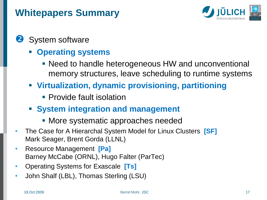

#### 2 System software

- **Operating systems**
	- Need to handle heterogeneous HW and unconventional memory structures, leave scheduling to runtime systems
- **Virtualization, dynamic provisioning, partitioning**
	- **Provide fault isolation**
- **System integration and management**
	- **More systematic approaches needed**
- The Case for A Hierarchal System Model for Linux Clusters **[SF]** Mark Seager, Brent Gorda (LLNL)
- Resource Management **[Pa]** Barney McCabe (ORNL), Hugo Falter (ParTec)
- Operating Systems for Exascale **[Ts]**
- John Shalf (LBL), Thomas Sterling (LSU)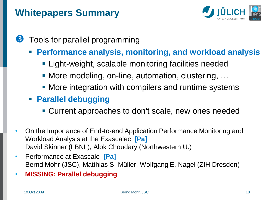

- **3** Tools for parallel programming
	- **Performance analysis, monitoring, and workload analysis**
		- **Light-weight, scalable monitoring facilities needed**
		- More modeling, on-line, automation, clustering, ...
		- **More integration with compilers and runtime systems**
	- **Parallel debugging**
		- Current approaches to don't scale, new ones needed
- On the Importance of End-to-end Application Performance Monitoring and Workload Analysis at the Exascalec **[Pa]** David Skinner (LBNL), Alok Choudary (Northwestern U.)
- Performance at Exascale **[Pa]** Bernd Mohr (JSC), Matthias S. Müller, Wolfgang E. Nagel (ZIH Dresden)
- **MISSING: Parallel debugging**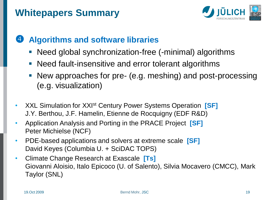

#### **Algorithms and software libraries**

- Need global synchronization-free (-minimal) algorithms
- Need fault-insensitive and error tolerant algorithms
- New approaches for pre- (e.g. meshing) and post-processing (e.g. visualization)
- XXL Simulation for XXIst Century Power Systems Operation **[SF]**  J.Y. Berthou, J.F. Hamelin, Etienne de Rocquigny (EDF R&D)
- Application Analysis and Porting in the PRACE Project **[SF]** Peter Michielse (NCF)
- PDE-based applications and solvers at extreme scale **[SF]** David Keyes (Columbia U. + SciDAC TOPS)
- Climate Change Research at Exascale **[Ts]** Giovanni Aloisio, Italo Epicoco (U. of Salento), Silvia Mocavero (CMCC), Mark Taylor (SNL)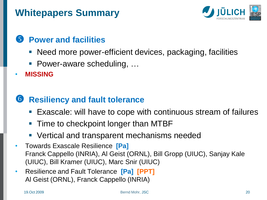

#### **Power and facilities**

- **Need more power-efficient devices, packaging, facilities**
- Power-aware scheduling, ...
- **MISSING**

## **6** Resiliency and fault tolerance

- Exascale: will have to cope with continuous stream of failures
- Time to checkpoint longer than MTBF
- **Vertical and transparent mechanisms needed**
- Towards Exascale Resilience **[Pa]** Franck Cappello (INRIA), Al Geist (ORNL), Bill Gropp (UIUC), Sanjay Kale (UIUC), Bill Kramer (UIUC), Marc Snir (UIUC)
- Resilience and Fault Tolerance **[Pa] [PPT]** Al Geist (ORNL), Franck Cappello (INRIA)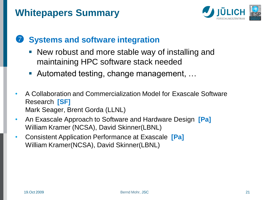

#### **Systems and software integration**

- New robust and more stable way of installing and maintaining HPC software stack needed
- Automated testing, change management, ...
- A Collaboration and Commercialization Model for Exascale Software Research **[SF]**  Mark Seager, Brent Gorda (LLNL)
- An Exascale Approach to Software and Hardware Design **[Pa]** William Kramer (NCSA), David Skinner(LBNL)
- Consistent Application Performance at Exascale **[Pa]**  William Kramer(NCSA), David Skinner(LBNL)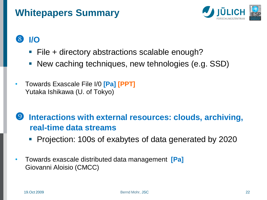

#### **I/O**

- File + directory abstractions scalable enough?
- New caching techniques, new tehnologies (e.g. SSD)
- Towards Exascale File I/0 **[Pa] [PPT]** Yutaka Ishikawa (U. of Tokyo)

#### **9** Interactions with external resources: clouds, archiving, **real-time data streams**

- **Projection: 100s of exabytes of data generated by 2020**
- Towards exascale distributed data management **[Pa]** Giovanni Aloisio (CMCC)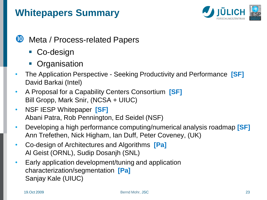

- **W** Meta / Process-related Papers
	- Co-design
	- **Organisation**
- The Application Perspective Seeking Productivity and Performance **[SF]**  David Barkai (Intel)
- A Proposal for a Capability Centers Consortium **[SF]**  Bill Gropp, Mark Snir, (NCSA + UIUC)
- NSF IESP Whitepaper **[SF]**  Abani Patra, Rob Pennington, Ed Seidel (NSF)
- Developing a high performance computing/numerical analysis roadmap **[SF]**  Ann Trefethen, Nick Higham, Ian Duff, Peter Coveney, (UK)
- Co-design of Architectures and Algorithms **[Pa]** Al Geist (ORNL), Sudip Dosanjh (SNL)
- Early application development/tuning and application characterization/segmentation **[Pa]**  Sanjay Kale (UIUC)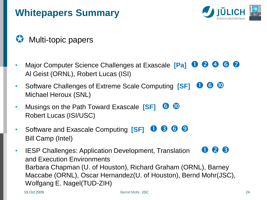

**W** Multi-topic papers

- Major Computer Science Challenges at Exascale **[Pa]**  Al Geist (ORNL), Robert Lucas (ISI)
- Software Challenges of Extreme Scale Computing **[SF] 0 6 0** Michael Heroux (SNL)
- Musings on the Path Toward Exascale **[SF] 6 10** Robert Lucas (ISI/USC)
- Software and Exascale Computing **[SF] 0 8 6 9** Bill Camp (Intel)
- IESP Challenges: Application Development, Translation  $\bigcirc$  8 and Execution Environments Barbara Chapman (U. of Houston), Richard Graham (ORNL), Barney Maccabe (ORNL), Oscar Hernandez(U. of Houston), Bernd Mohr(JSC), Wolfgang E. Nagel(TUD-ZIH)